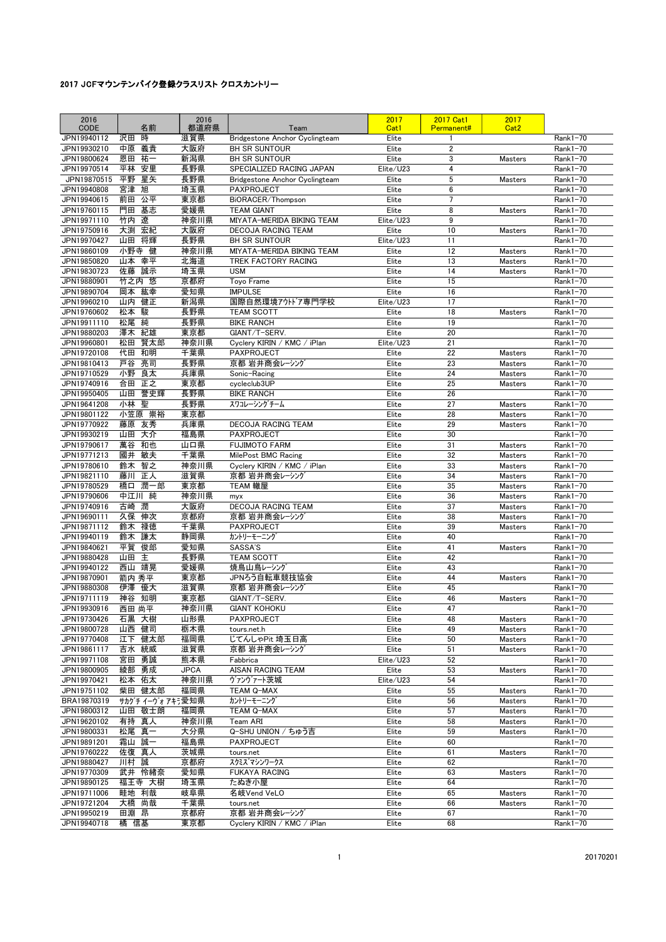| 2016<br>CODE               |                | 名前             | 2016<br>都道府県 | Team                                               | 2017<br>Cat1       | 2017 Cat1<br>Permanent# | 2017<br>Cat <sub>2</sub>  |                          |
|----------------------------|----------------|----------------|--------------|----------------------------------------------------|--------------------|-------------------------|---------------------------|--------------------------|
| JPN19940112                | 沢田             | 時              | 滋賀県          | <b>Bridgestone Anchor Cyclingteam</b>              | Elite              | 1                       |                           | $Rank1-70$               |
| JPN19930210                | 中原             | 義貴<br>祐一       | 大阪府<br>新潟県   | <b>BH SR SUNTOUR</b><br><b>BH SR SUNTOUR</b>       | Elite              | $\overline{2}$<br>3     |                           | $Rank1-70$               |
| JPN19800624<br>JPN19970514 | 恩田<br>平林       | 安里             | 長野県          | SPECIALIZED RACING JAPAN                           | Elite<br>Elite/U23 | 4                       | <b>Masters</b>            | Rank1-70<br>Rank1-70     |
| JPN19870515                | 平野 星矢          |                | 長野県          | Bridgestone Anchor Cyclingteam                     | Elite              | 5                       | <b>Masters</b>            | Rank1-70                 |
| JPN19940808                | 宮津 旭           |                | 埼玉県          | PAXPROJECT                                         | Elite              | 6                       |                           | Rank1-70                 |
| JPN19940615                | 前田 公平          |                | 東京都          | BiORACER/Thompson                                  | Elite              | $\overline{7}$          |                           | Rank1-70                 |
| JPN19760115                | 門田             | 基志             | 愛媛県          | <b>TEAM GIANT</b>                                  | Elite              | 8                       | <b>Masters</b>            | Rank1-70                 |
| JPN19971110                | 竹内 遼           |                | 神奈川県         | MIYATA-MERIDA BIKING TEAM                          | Elite/U23          | 9                       |                           | Rank1-70                 |
| JPN19750916                | 大渕             | 宏紀             | 大阪府          | <b>DECOJA RACING TEAM</b>                          | Elite              | 10                      | <b>Masters</b>            | Rank1-70                 |
| JPN19970427                | 山田             | 将輝             | 長野県          | <b>BH SR SUNTOUR</b>                               | Elite/U23          | 11                      |                           | $Rank1-70$               |
| JPN19860109                | 小野寺 健          |                | 神奈川県         | MIYATA-MERIDA BIKING TEAM                          | Elite              | 12                      | Masters                   | Rank1-70                 |
| JPN19850820                | 山本 幸平          |                | 北海道          | TREK FACTORY RACING                                | Elite              | 13                      | <b>Masters</b>            | Rank1-70                 |
| JPN19830723                | 佐藤             | 誠示             | 埼玉県          | <b>USM</b>                                         | Elite              | 14                      | <b>Masters</b>            | Rank1-70                 |
| JPN19880901                | 竹之内 悠          |                | 京都府          | Toyo Frame                                         | Elite              | 15                      |                           | Rank1-70                 |
| JPN19890704                | 岡本 紘幸          |                | 愛知県          | <b>IMPULSE</b>                                     | Elite              | 16                      |                           | Rank1-70                 |
| JPN19960210<br>JPN19760602 | 山内<br>松本       | 健正<br>駿        | 新潟県<br>長野県   | 国際自然環境アウトドア専門学校<br><b>TEAM SCOTT</b>               | Elite/U23<br>Elite | 17<br>18                | <b>Masters</b>            | Rank1-70<br>Rank1-70     |
| JPN19911110                | 松尾             | 純              | 長野県          | <b>BIKE RANCH</b>                                  | Elite              | 19                      |                           | Rank1-70                 |
| JPN19880203                | 澤木 紀雄          |                | 東京都          | GIANT/T-SERV.                                      | Elite              | 20                      |                           | Rank1-70                 |
| JPN19960801                | 松田             | 賢太郎            | 神奈川県         | Cyclery KIRIN / KMC / iPlan                        | Elite/U23          | 21                      |                           | Rank1-70                 |
| JPN19720108                | 代田 和明          |                | 千葉県          | <b>PAXPROJECT</b>                                  | Elite              | 22                      | <b>Masters</b>            | $Rank1-70$               |
| JPN19810413                | 戸谷             | 亮司             | 長野県          | 京都 岩井商会レーシング                                       | Elite              | 23                      | <b>Masters</b>            | Rank1-70                 |
| JPN19710529                | 小野 良太          |                | 兵庫県          | Sonic-Racing                                       | Elite              | 24                      | Masters                   | $Rank1-70$               |
| JPN19740916                | 合田             | 正之             | 東京都          | cvcleclub3UP                                       | Elite              | 25                      | <b>Masters</b>            | Rank1-70                 |
| JPN19950405                |                | 山田 誉史輝         | 長野県          | <b>BIKE RANCH</b>                                  | Elite              | 26                      |                           | Rank1-70                 |
| JPN19641208                | 小林 聖           |                | 長野県          | スワコレーシングチーム                                        | Elite              | 27                      | Masters                   | Rank1-70                 |
| JPN19801122                |                | 小笠原 崇裕         | 東京都          |                                                    | Elite              | 28                      | Masters                   | Rank1-70                 |
| JPN19770922                | 藤原 友秀          |                | 兵庫県          | DECOJA RACING TEAM                                 | Elite              | 29                      | Masters                   | Rank1-70                 |
| JPN19930219                | 山田 大介          |                | 福島県          | PAXPROJECT                                         | Elite              | 30                      |                           | Rank1-70                 |
| JPN19790617                | 萬谷             | 和也             | 山口県          | <b>FUJIMOTO FARM</b>                               | Elite              | 31                      | <b>Masters</b>            | Rank1-70                 |
| JPN19771213<br>JPN19780610 | 國井<br>鈴木       | 敏夫<br>智之       | 千葉県<br>神奈川県  | MilePost BMC Racing<br>Cyclery KIRIN / KMC / iPlan | Elite<br>Elite     | 32<br>33                | Masters<br><b>Masters</b> | Rank1-70<br>$Rank1-70$   |
| JPN19821110                | 藤川             | 正人             | 滋賀県          | 京都 岩井商会レーシング                                       | Elite              | 34                      | Masters                   | Rank1-70                 |
| JPN19780529                | 橋口             | 潤一郎            | 東京都          | TEAM 轍屋                                            | Elite              | 35                      | Masters                   | Rank1-70                 |
| JPN19790606                | 中江川 純          |                | 神奈川県         | myx                                                | Elite              | 36                      | Masters                   | Rank1-70                 |
| JPN19740916                | 古崎             | 潤              | 大阪府          | DECOJA RACING TEAM                                 | Elite              | 37                      | Masters                   | Rank1-70                 |
| JPN19690111                | 久保 伸次          |                | 京都府          | 京都 岩井商会レーシング                                       | Elite              | 38                      | Masters                   | Rank1-70                 |
| JPN19871112                | 鈴木             | 禄徳             | 千葉県          | PAXPROJECT                                         | Elite              | 39                      | Masters                   | Rank1-70                 |
| JPN19940119                | 鈴木             | 謙太             | 静岡県          | カントリーモーニング                                         | Elite              | 40                      |                           | Rank1-70                 |
| JPN19840621                | 平賀             | 俊郎             | 愛知県          | SASSA'S                                            | Elite              | 41                      | Masters                   | Rank1-70                 |
| JPN19880428                | 山田 主           |                | 長野県          | <b>TEAM SCOTT</b>                                  | Elite              | 42                      |                           | $Rank1-70$               |
| JPN19940122                | 西山 靖晃          |                | 愛媛県          | 焼鳥山鳥レーシング                                          | Elite              | 43                      |                           | Rank1-70                 |
| JPN19870901                | 箭内 秀平          |                | 東京都          | JPNろう自転車競技協会                                       | Elite              | 44                      | Masters                   | Rank1-70                 |
| JPN19880308                | 伊澤 優大          |                | 滋賀県          | 京都 岩井商会レーシング                                       | Elite              | 45<br>46                |                           | Rank1-70                 |
| JPN19711119<br>JPN19930916 | 神谷 知明<br>西田 尚平 |                | 東京都<br>神奈川県  | GIANT/T-SERV.<br><b>GIANT KOHOKU</b>               | Elite<br>Elite     | 47                      | <b>Masters</b>            | $Rank1-70$<br>$Rank1-70$ |
| JPN19730426                | 石黒 大樹          |                | 山形県          | PAXPROJECT                                         | Elite              | 48                      | Masters                   | Rank1-70                 |
| JPN19800728                | 山西 健司          |                | 栃木県          | tours.net.h                                        | Elite              | 49                      | Masters                   | Rank1-70                 |
| JPN19770408                |                | 江下 健太郎         | 福岡県          | じてんしゃPit 埼玉日高                                      | Elite              | 50                      | Masters                   | $Rank1-70$               |
| JPN19861117                | 吉水 統威          |                | 滋賀県          | 京都 岩井商会レーシング                                       | Elite              | 51                      | Masters                   | Rank1-70                 |
| JPN19971108                | 宮田             | 勇誠             | 熊本県          | Fabbrica                                           | Elite/U23          | 52                      |                           | Rank1-70                 |
| JPN19800905                | 綾部 勇成          |                | <b>JPCA</b>  | AISAN RACING TEAM                                  | Elite              | 53                      | <b>Masters</b>            | Rank1-70                 |
| JPN19970421                | 松本 佑太          |                | 神奈川県         | ヴァンヴァート茨城                                          | Elite/U23          | 54                      |                           | $Rank1-70$               |
| JPN19751102                |                | 柴田 健太郎         | 福岡県          | TEAM Q-MAX                                         | Elite              | 55                      | Masters                   | $Rank1-70$               |
| BRA19870319                |                | サカゲチイーヴォアキラ愛知県 |              | カントリーモーニング                                         | Elite              | 56                      | Masters                   | Rank1-70                 |
| JPN19800312                |                | 山田 敬士朗         | 福岡県          | TEAM Q-MAX                                         | Elite              | 57                      | Masters                   | $Rank1-70$               |
| JPN19620102                | 有持 真人          |                | 神奈川県         | Team ARI                                           | Elite              | 58                      | Masters                   | $Rank1-70$               |
| JPN19800331                | 松尾 真一          |                | 大分県          | Q-SHU UNION / ちゅう吉                                 | Elite              | 59                      | Masters                   | $Rank1-70$               |
| JPN19891201                | 霜山 誠一<br>佐復 真人 |                | 福島県          | PAXPROJECT                                         | Elite              | 60                      |                           | $Rank1-70$               |
| JPN19760222<br>JPN19880427 | 川村 誠           |                | 茨城県<br>京都府   | tours.net<br>スクミス゛マシンワークス                          | Elite<br>Elite     | 61<br>62                | Masters                   | $Rank1-70$<br>Rank1-70   |
| JPN19770309                |                | 武井 怜緒奈         | 愛知県          | <b>FUKAYA RACING</b>                               | Elite              | 63                      | <b>Masters</b>            | $Rank1-70$               |
| JPN19890125                |                | 福王寺 大樹         | 埼玉県          | たぬき小屋                                              | Elite              | 64                      |                           | Rank1-70                 |
| JPN19711006                | 畦地 利哉          |                | 岐阜県          | 名岐Vend VeLO                                        | Elite              | 65                      | Masters                   | Rank1-70                 |
| JPN19721204                | 大橋 尚哉          |                | 千葉県          | tours.net                                          | Elite              | 66                      | Masters                   | Rank1-70                 |
| JPN19950219                | 田淵 昂           |                | 京都府          | 京都 岩井商会レーシング                                       | Elite              | 67                      |                           | Rank1-70                 |
| JPN19940718                | 橘 信基           |                | 東京都          | Cyclery KIRIN / KMC / iPlan                        | Elite              | 68                      |                           | Rank1-70                 |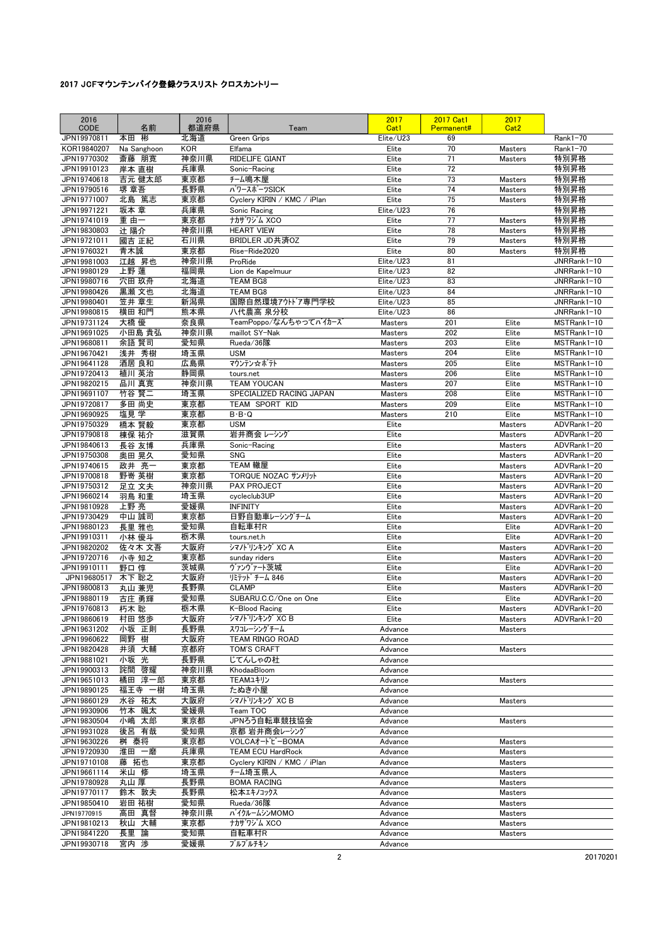| 2016<br>CODE               | 名前             | 2016<br>都道府県 | Team                                    | 2017<br>Cat1                     | <b>2017 Cat1</b><br>Permanent# | 2017<br>Cat <sub>2</sub> |                            |
|----------------------------|----------------|--------------|-----------------------------------------|----------------------------------|--------------------------------|--------------------------|----------------------------|
| JPN19970811                | 本田<br>彬        | 北海道          | Green Grips                             | Elite/U23                        | 69                             |                          | Rank1-70                   |
| KOR19840207                | Na Sanghoon    | <b>KOR</b>   | Elfama                                  | Elite                            | 70                             | <b>Masters</b>           | Rank1-70                   |
| JPN19770302                | 斎藤 朋寛          | 神奈川県         | <b>RIDELIFE GIANT</b>                   | Elite                            | 71                             | Masters                  | 特別昇格                       |
| JPN19910123                | 岸本 直樹          | 兵庫県          | Sonic-Racing                            | Elite                            | 72                             |                          | 特別昇格                       |
| JPN19740618                | 吉元 健太郎         | 東京都          | チーム鳴木屋                                  | Elite                            | 73                             | <b>Masters</b>           | 特別昇格                       |
| JPN19790516                | 堺 章吾           | 長野県          | パワースポーツSICK                             | Elite                            | 74                             | <b>Masters</b>           | 特別昇格                       |
| JPN19771007                | 北島 篤志          | 東京都          | Cyclery KIRIN / KMC / iPlan             | Elite                            | 75<br>76                       | <b>Masters</b>           | 特別昇格                       |
| JPN19971221<br>JPN19741019 | 坂本 章<br>重 由一   | 兵庫県<br>東京都   | Sonic Racing<br>ナカザワジム XCO              | Elite/U23<br>Elite               | 77                             | <b>Masters</b>           | 特別昇格<br>特別昇格               |
| JPN19830803                | 辻 陽介           | 神奈川県         | <b>HEART VIEW</b>                       | Elite                            | 78                             | Masters                  | 特別昇格                       |
| JPN19721011                | 國吉 正紀          | 石川県          | BRIDLER JD共済OZ                          | Elite                            | 79                             | Masters                  | 特別昇格                       |
| JPN19760321                | 青木誠            | 東京都          | Rise-Ride2020                           | Elite                            | 80                             | <b>Masters</b>           | 特別昇格                       |
| JPN19981003                | 江越 昇也          | 神奈川県         | ProRide                                 | Elite/U23                        | 81                             |                          | JNRRank1-10                |
| JPN19980129                | 上野 蓮           | 福岡県          | Lion de Kapelmuur                       | Elite/U23                        | 82                             |                          | JNRRank1-10                |
| JPN19980716                | 穴田 玖舟          | 北海道          | <b>TEAM BG8</b>                         | Elite/U23                        | 83                             |                          | JNRRank1-10                |
| JPN19980426                | 黒瀬 文也          | 北海道          | <b>TEAM BG8</b>                         | Elite/U23                        | 84                             |                          | JNRRank1-10                |
| JPN19980401                | 笠井 章生          | 新潟県          | 国際自然環境アウトドア専門学校                         | Elite/U23                        | 85                             |                          | JNRRank1-10                |
| JPN19980815                | 横田 和門          | 熊本県          | 八代農高 泉分校                                | Elite/U23                        | 86                             |                          | JNRRank1-10                |
| JPN19731124<br>JPN19691025 | 大橋 優<br>小田島 貴弘 | 奈良県<br>神奈川県  | TeamPoppo/なんちゃってバイカーズ<br>maillot SY-Nak | <b>Masters</b><br><b>Masters</b> | 201<br>202                     | Elite<br>Elite           | MSTRank1-10<br>MSTRank1-10 |
| JPN19680811                | 余語 賢司          | 愛知県          | Rueda/36隊                               | Masters                          | 203                            | Elite                    | MSTRank1-10                |
| JPN19670421                | 浅井 秀樹          | 埼玉県          | <b>USM</b>                              | Masters                          | 204                            | Elite                    | MSTRank1-10                |
| JPN19641128                | 酒居 良和          | 広島県          | マウンテン☆ポテト                               | <b>Masters</b>                   | 205                            | Elite                    | MSTRank1-10                |
| JPN19720413                | 植川 英治          | 静岡県          | tours.net                               | <b>Masters</b>                   | 206                            | Elite                    | MSTRank1-10                |
| JPN19820215                | 品川 真寛          | 神奈川県         | <b>TEAM YOUCAN</b>                      | <b>Masters</b>                   | 207                            | Elite                    | MSTRank1-10                |
| JPN19691107                | 竹谷 賢二          | 埼玉県          | SPECIALIZED RACING JAPAN                | <b>Masters</b>                   | 208                            | Elite                    | MSTRank1-10                |
| JPN19720817                | 多田 尚史          | 東京都          | TEAM SPORT KID                          | <b>Masters</b>                   | 209                            | Elite                    | MSTRank1-10                |
| JPN19690925                | 塩見学            | 東京都          | $B \cdot B \cdot Q$                     | <b>Masters</b>                   | 210                            | Elite                    | MSTRank1-10                |
| JPN19750329                | 橋本 賢毅          | 東京都          | <b>USM</b>                              | Elite                            |                                | <b>Masters</b>           | ADVRank1-20                |
| JPN19790818                | 棟保 祐介          | 滋賀県          | 岩井商会 レーシング                              | Elite                            |                                | <b>Masters</b>           | ADVRank1-20                |
| JPN19840613                | 長谷 友博          | 兵庫県          | Sonic-Racing                            | Elite                            |                                | Masters                  | ADVRank1-20                |
| JPN19750308                | 奥田 晃久          | 愛知県          | <b>SNG</b><br>TEAM 轍屋                   | Elite                            |                                | Masters                  | ADVRank1-20                |
| JPN19740615<br>JPN19700818 | 政井 亮一<br>野嵜 英樹 | 東京都<br>東京都   | TORQUE NOZAC サンメリット                     | Elite<br>Elite                   |                                | Masters<br>Masters       | ADVRank1-20<br>ADVRank1-20 |
| JPN19750312                | 足立 文夫          | 神奈川県         | <b>PAX PROJECT</b>                      | Elite                            |                                | Masters                  | ADVRank1-20                |
| JPN19660214                | 羽鳥 和重          | 埼玉県          | cycleclub3UP                            | Elite                            |                                | <b>Masters</b>           | ADVRank1-20                |
| JPN19810928                | 上野亮            | 愛媛県          | INFINITY                                | Elite                            |                                | <b>Masters</b>           | ADVRank1-20                |
| JPN19730429                | 中山 誠司          | 東京都          | 日野自動車レーシングチーム                           | Elite                            |                                | <b>Masters</b>           | ADVRank1-20                |
| JPN19880123                | 長里 雅也          | 愛知県          | 自転車村R                                   | Elite                            |                                | Elite                    | ADVRank1-20                |
| JPN19910311                | 小林 優斗          | 栃木県          | tours.net.h                             | Elite                            |                                | Elite                    | ADVRank1-20                |
| JPN19820202                | 佐々木 文吾         | 大阪府          | シマノトリンキング XC A                          | Elite                            |                                | <b>Masters</b>           | ADVRank1-20                |
| JPN19720716                | 小寺 知之          | 東京都          | sunday riders                           | Elite                            |                                | <b>Masters</b>           | ADVRank1-20                |
| JPN19910111                | 野口 惇           | 茨城県          | ヴァンヴァート茨城                               | Elite                            |                                | Elite                    | ADVRank1-20                |
| JPN19680517                | 木下 聡之          | 大阪府          | リミテット チーム 846<br><b>CLAMP</b>           | Elite                            |                                | Masters                  | ADVRank1-20<br>ADVRank1-20 |
| JPN19800813<br>JPN19880119 | 丸山 兼児<br>古庄 勇輝 | 長野県<br>愛知県   | SUBARU.C.C/One on One                   | Elite<br>Elite                   |                                | <b>Masters</b><br>Elite  | ADVRank1-20                |
| JPN19760813                | 朽木 聡           | 栃木県          | K-Blood Racing                          | Elite                            |                                | <b>Masters</b>           | ADVRank1-20                |
| JPN19860619                | 村田 悠歩          | 大阪府          | シマノトリンキング XC B                          | Elite                            |                                | Masters                  | ADVRank1-20                |
| JPN19631202                | 小坂 正則          | 長野県          | スワコレーシングチーム                             | Advance                          |                                | <b>Masters</b>           |                            |
| JPN19960622                | 岡野 樹           | 大阪府          | TEAM RINGO ROAD                         | Advance                          |                                |                          |                            |
| JPN19820428                | 井須 大輔          | 京都府          | <b>TOM'S CRAFT</b>                      | Advance                          |                                | Masters                  |                            |
| JPN19881021                | 小坂 光           | 長野県          | じてんしゃの杜                                 | Advance                          |                                |                          |                            |
| JPN19900313                | 詫間 啓耀          | 神奈川県         | KhodaaBloom                             | Advance                          |                                |                          |                            |
| JPN19651013                | 橘田 淳一郎         | 東京都          | TEAMユキリン                                | Advance                          |                                | Masters                  |                            |
| JPN19890125                | 福王寺 一樹         | 埼玉県          | たぬき小屋                                   | Advance                          |                                |                          |                            |
| JPN19860129<br>JPN19930906 | 水谷 祐太<br>竹本 颯太 | 大阪府<br>愛媛県   | シマノトリンキング XCB                           | Advance                          |                                | <b>Masters</b>           |                            |
| JPN19830504                | 小嶋 太郎          | 東京都          | Team TOC<br>JPNろう自転車競技協会                | Advance<br>Advance               |                                | <b>Masters</b>           |                            |
| JPN19931028                | 後呂 有哉          | 愛知県          | 京都 岩井商会レーシング                            | Advance                          |                                |                          |                            |
| JPN19630226                | 桝 泰将           | 東京都          | VOLCAオート゛ビーBOMA                         | Advance                          |                                | Masters                  |                            |
| JPN19720930                | 淮田 一磨          | 兵庫県          | <b>TEAM ECU HardRock</b>                | Advance                          |                                | Masters                  |                            |
| JPN19710108                | 藤 拓也           | 東京都          | Cyclery KIRIN / KMC / iPlan             | Advance                          |                                | Masters                  |                            |
| JPN19661114                | 米山 修           | 埼玉県          | チーム埼玉県人                                 | Advance                          |                                | Masters                  |                            |
| JPN19780928                | 丸山 厚           | 長野県          | <b>BOMA RACING</b>                      | Advance                          |                                | Masters                  |                            |
| JPN19770117                | 鈴木 敦夫          | 長野県          | 松本エキノコックス                               | Advance                          |                                | Masters                  |                            |
| JPN19850410                | 岩田 祐樹          | 愛知県          | Rueda/36隊                               | Advance                          |                                | Masters                  |                            |
| JPN19770915                | 高田 真督          | 神奈川県         | バイクルームシンMOMO                            | Advance                          |                                | Masters                  |                            |
| JPN19810213<br>JPN19841220 | 秋山 大輔<br>長里 論  | 東京都          | ナカザワジム XCO                              | Advance                          |                                | Masters                  |                            |
| JPN19930718                | 宮内 渉           | 愛知県<br>愛媛県   | 自転車村R<br>ブルブルチキン                        | Advance<br>Advance               |                                | Masters                  |                            |
|                            |                |              |                                         |                                  |                                |                          |                            |

2 20170201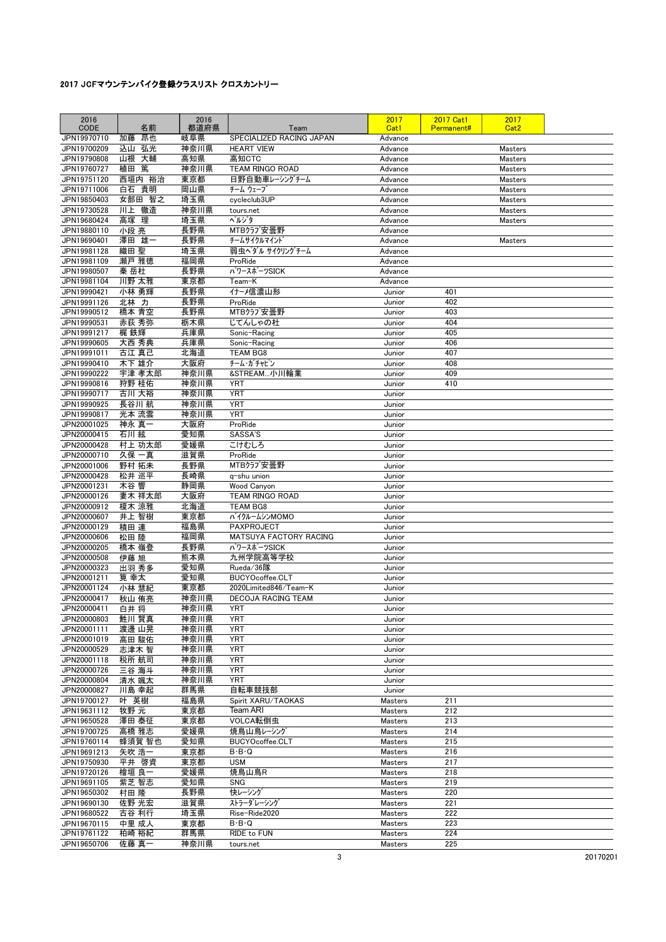| 2016<br>CODE               | 名前              | 2016<br>都道府県 | Team                                               | 2017<br>Cat1       | <b>2017 Cat1</b><br>Permanent# | 2017<br>Cat <sub>2</sub> |  |
|----------------------------|-----------------|--------------|----------------------------------------------------|--------------------|--------------------------------|--------------------------|--|
| JPN19970710                | 昂也<br>加藤        | 岐阜県          | SPECIALIZED RACING JAPAN                           | Advance            |                                |                          |  |
| JPN19700209                | 込山<br>弘光        | 神奈川県         | <b>HEART VIEW</b>                                  | Advance            |                                | <b>Masters</b>           |  |
| JPN19790808                | 山根 大輔           | 高知県          | 高知CTC                                              | Advance            |                                | Masters                  |  |
| JPN19760727                | 篤<br>植田         | 神奈川県         | TEAM RINGO ROAD                                    | Advance            |                                | <b>Masters</b>           |  |
| JPN19751120<br>JPN19711006 | 西垣内 裕治<br>白石 貴明 | 東京都<br>岡山県   | 日野自動車レーシングチーム<br>チーム ウェーブ                          | Advance<br>Advance |                                | Masters<br>Masters       |  |
| JPN19850403                | 女部田 智之          | 埼玉県          | cycleclub3UP                                       | Advance            |                                | Masters                  |  |
| JPN19730528                | 川上<br>徹造        | 神奈川県         | tours.net                                          | Advance            |                                | Masters                  |  |
| JPN19680424                | 高塚 理            | 埼玉県          | ヘルジタ                                               | Advance            |                                | Masters                  |  |
| JPN19880110                | 小段 亮            | 長野県          | MTBクラブ安曇野                                          | Advance            |                                |                          |  |
| JPN19690401                | 澤田 雄一           | 長野県          | チームサイクルマイント                                        | Advance            |                                | <b>Masters</b>           |  |
| JPN19981128<br>JPN19981109 | 織田 聖<br>瀬戸 雅徳   | 埼玉県<br>福岡県   | 弱虫ペダル サイクリングチーム<br>ProRide                         | Advance<br>Advance |                                |                          |  |
| JPN19980507                | 秦岳杜             | 長野県          | パワースポーツSICK                                        | Advance            |                                |                          |  |
| JPN19981104                | 川野 太雅           | 東京都          | Team-K                                             | Advance            |                                |                          |  |
| JPN19990421                | 小林 勇輝           | 長野県          | イナーメ信濃山形                                           | Junior             | 401                            |                          |  |
| JPN19991126                | 北林 力            | 長野県          | ProRide                                            | Junior             | 402                            |                          |  |
| JPN19990512                | 橋本 青空           | 長野県          | MTBクラブ安曇野                                          | Junior             | 403                            |                          |  |
| JPN19990531<br>JPN19991217 | 赤荻 秀弥<br>梶 鉄輝   | 栃木県<br>兵庫県   | じてんしゃの杜<br>Sonic-Racing                            | Junior<br>Junior   | 404<br>405                     |                          |  |
| JPN19990605                | 大西 秀典           | 兵庫県          | Sonic-Racing                                       | Junior             | 406                            |                          |  |
| JPN19991011                | 古江 真己           | 北海道          | <b>TEAM BG8</b>                                    | Junior             | 407                            |                          |  |
| JPN19990410                | 木下 雄介           | 大阪府          | チーム・ガチャピン                                          | Junior             | 408                            |                          |  |
| JPN19990222                | 宇津 孝太郎          | 神奈川県         | &STREAM小川輪業                                        | Junior             | 409                            |                          |  |
| JPN19990816                | 狩野 桂佑           | 神奈川県         | <b>YRT</b>                                         | Junior             | 410                            |                          |  |
| JPN19990717<br>JPN19990925 | 古川 大裕<br>長谷川 航  | 神奈川県<br>神奈川県 | <b>YRT</b><br><b>YRT</b>                           | Junior<br>Junior   |                                |                          |  |
| JPN19990817                | 光本 流雲           | 神奈川県         | <b>YRT</b>                                         | Junior             |                                |                          |  |
| JPN20001025                | 神永 真一           | 大阪府          | ProRide                                            | Junior             |                                |                          |  |
| JPN20000415                | 石川絃             | 愛知県          | SASSA'S                                            | Junior             |                                |                          |  |
| JPN20000428                | 村上 功太郎          | 愛媛県          | こけむしろ                                              | Junior             |                                |                          |  |
| JPN20000710                | 久保一真            | 滋賀県          | ProRide                                            | Junior             |                                |                          |  |
| JPN20001006<br>JPN20000428 | 野村 拓未<br>松井 巡平  | 長野県<br>長崎県   | MTBクラブ安曇野<br>q-shu union                           | Junior<br>Junior   |                                |                          |  |
| JPN20001231                | 木谷 響            | 静岡県          | <b>Wood Canyon</b>                                 | Junior             |                                |                          |  |
| JPN20000126                | 妻木 祥太郎          | 大阪府          | TEAM RINGO ROAD                                    | Junior             |                                |                          |  |
| JPN20000912                | 榎木 涼雅           | 北海道          | <b>TEAM BG8</b>                                    | Junior             |                                |                          |  |
| JPN20000607                | 井上 智樹           | 東京都          | バイクルームシンMOMO                                       | Junior             |                                |                          |  |
| JPN20000129<br>JPN20000606 | 積田 連<br>松田 陸    | 福島県<br>福岡県   | <b>PAXPROJECT</b><br>MATSUYA FACTORY RACING        | Junior<br>Junior   |                                |                          |  |
| JPN20000205                | 橋本 嶺登           | 長野県          | パワースポーツSICK                                        | Junior             |                                |                          |  |
| JPN20000508                | 伊藤 旭            | 熊本県          | 九州学院高等学校                                           | Junior             |                                |                          |  |
| JPN20000323                | 出羽 秀多           | 愛知県          | Rueda/36隊                                          | Junior             |                                |                          |  |
| JPN20001211                | 筧 幸太            | 愛知県          | BUCYOcoffee.CLT                                    | Junior             |                                |                          |  |
| JPN20001124<br>JPN20000417 | 小林 慧紀           | 東京都<br>神奈川県  | 2020Limited846/Team-K<br><b>DECOJA RACING TEAM</b> | Junior             |                                |                          |  |
| JPN20000411                | 秋山 侑亮<br>白井 将   | 神奈川県         | <b>YRT</b>                                         | Junior<br>Junior   |                                |                          |  |
| JPN20000803                | 鮏川 賢真           | 神奈川県         | <b>YRT</b>                                         | Junior             |                                |                          |  |
| JPN20001111                | 渡邊 山晃           | 神奈川県         | YRT                                                | Junior             |                                |                          |  |
| JPN20001019                | 高田 駿佑           | 神奈川県         | <b>YRT</b>                                         | Junior             |                                |                          |  |
| JPN20000529                | 志津木 智           | 神奈川県         | YRT                                                | Junior             |                                |                          |  |
| JPN20001118<br>JPN20000726 | 税所 航司           | 神奈川県<br>神奈川県 | <b>YRT</b><br>YRT                                  | Junior<br>Junior   |                                |                          |  |
| JPN20000804                | 三谷 海斗<br>清水 颯太  | 神奈川県         | <b>YRT</b>                                         | Junior             |                                |                          |  |
| JPN20000827                | 川島 幸起           | 群馬県          | 自転車競技部                                             | Junior             |                                |                          |  |
| JPN19700127                | 叶 英樹            | 福島県          | Spirit XARU/TAOKAS                                 | Masters            | 211                            |                          |  |
| JPN19631112                | 牧野 元            | 東京都          | Team ARI                                           | Masters            | 212                            |                          |  |
| JPN19650528                | 澤田 泰征           | 東京都          | VOLCA転倒虫                                           | Masters            | 213                            |                          |  |
| JPN19700725<br>JPN19760114 | 高橋 雅志<br>蜂須賀 智也 | 愛媛県<br>愛知県   | 焼鳥山鳥レーシング<br>BUCYOcoffee.CLT                       | Masters<br>Masters | 214<br>215                     |                          |  |
| JPN19691213                | 矢吹 浩一           | 東京都          | $B \cdot B \cdot Q$                                | Masters            | 216                            |                          |  |
| JPN19750930                | 平井 啓資           | 東京都          | <b>USM</b>                                         | Masters            | 217                            |                          |  |
| JPN19720126                | 檜垣 良一           | 愛媛県          | 焼鳥山鳥R                                              | Masters            | 218                            |                          |  |
| JPN19691105                | 紫芝 智志           | 愛知県          | <b>SNG</b>                                         | Masters            | 219                            |                          |  |
| JPN19650302                | 村田 隆            | 長野県          | 快レーシング<br>ストラーダレーシング                               | Masters            | 220                            |                          |  |
| JPN19690130<br>JPN19680522 | 佐野 光宏<br>古谷 利行  | 滋賀県<br>埼玉県   | Rise-Ride2020                                      | Masters<br>Masters | 221<br>222                     |                          |  |
| JPN19670115                | 中里 成人           | 東京都          | $B \cdot B \cdot Q$                                | Masters            | 223                            |                          |  |
| JPN19761122                | 柏崎 裕紀           | 群馬県          | RIDE to FUN                                        | Masters            | 224                            |                          |  |
| JPN19650706                | 佐藤 真一           | 神奈川県         | tours.net                                          | <b>Masters</b>     | 225                            |                          |  |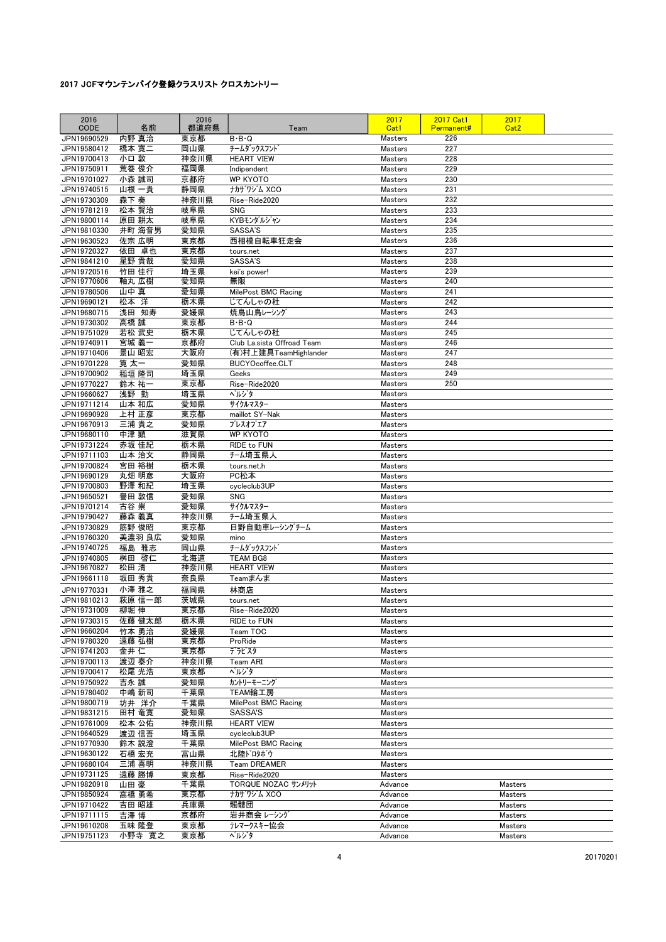| 2016                       |                 | 2016        |                                  | 2017                             | <b>2017 Cat1</b> | 2017               |  |
|----------------------------|-----------------|-------------|----------------------------------|----------------------------------|------------------|--------------------|--|
| <b>CODE</b>                | 名前              | 都道府県        | Team                             | Cat1                             | Permanent#       | Cat <sub>2</sub>   |  |
| JPN19690529<br>JPN19580412 | 内野 真治           | 東京都         | $B \cdot B \cdot Q$              | <b>Masters</b>                   | 226              |                    |  |
| JPN19700413                | 橋本 寛二<br>小口 敦   | 岡山県<br>神奈川県 | チームダックスフント<br><b>HEART VIEW</b>  | <b>Masters</b><br><b>Masters</b> | 227<br>228       |                    |  |
| JPN19750911                | 荒巻 俊介           | 福岡県         | Indipendent                      | <b>Masters</b>                   | 229              |                    |  |
| JPN19701027                | 小森 誠司           | 京都府         | <b>WP KYOTO</b>                  | <b>Masters</b>                   | 230              |                    |  |
| JPN19740515                | 山根 一貴           | 静岡県         | ナカザリジム XCO                       | Masters                          | 231              |                    |  |
| JPN19730309                | 森下 奏            | 神奈川県        | Rise-Ride2020                    | <b>Masters</b>                   | 232              |                    |  |
| JPN19781219                | 松本 賢治           | 岐阜県         | <b>SNG</b>                       | <b>Masters</b>                   | 233              |                    |  |
| JPN19800114                | 原田 耕太           | 岐阜県         | KYBモンダルジャン                       | <b>Masters</b>                   | 234              |                    |  |
| JPN19810330                | 井町 海音男          | 愛知県         | SASSA'S                          | <b>Masters</b>                   | 235              |                    |  |
| JPN19630523                | 佐宗 広明           | 東京都         | 西相模自転車狂走会                        | <b>Masters</b>                   | 236              |                    |  |
| JPN19720327                | 依田 卓也           | 東京都         | tours.net                        | <b>Masters</b>                   | 237              |                    |  |
| JPN19841210                | 星野 貴哉           | 愛知県         | SASSA'S                          | <b>Masters</b>                   | 238              |                    |  |
| JPN19720516                | 竹田 佳行           | 埼玉県         | kei's power!                     | <b>Masters</b>                   | 239              |                    |  |
| JPN19770606                | 軸丸 広樹           | 愛知県         | 無限                               | <b>Masters</b>                   | 240              |                    |  |
| JPN19780506                | 山中 真            | 愛知県         | MilePost BMC Racing              | <b>Masters</b>                   | 241              |                    |  |
| JPN19690121                | 松本 洋            | 栃木県         | じてんしゃの杜                          | <b>Masters</b>                   | 242              |                    |  |
| JPN19680715<br>JPN19730302 | 浅田 知寿<br>高橋 誠   | 愛媛県<br>東京都  | 焼鳥山鳥レーシング<br>$B \cdot B \cdot Q$ | <b>Masters</b><br><b>Masters</b> | 243<br>244       |                    |  |
| JPN19751029                | 若松 武史           | 栃木県         | じてんしゃの杜                          | <b>Masters</b>                   | 245              |                    |  |
| JPN19740911                | 宮城 義一           | 京都府         | Club La.sista Offroad Team       | <b>Masters</b>                   | 246              |                    |  |
| JPN19710406                | 景山 昭宏           | 大阪府         | (有)村上建具TeamHighlander            | <b>Masters</b>                   | 247              |                    |  |
| JPN19701228                | 筧 太一            | 愛知県         | BUCYOcoffee.CLT                  | <b>Masters</b>                   | 248              |                    |  |
| JPN19700902                | 稲垣 隆司           | 埼玉県         | Geeks                            | <b>Masters</b>                   | 249              |                    |  |
| JPN19770227                | 鈴木 祐一           | 東京都         | Rise-Ride2020                    | <b>Masters</b>                   | 250              |                    |  |
| JPN19660627                | 浅野 勤            | 埼玉県         | ぺルジタ                             | <b>Masters</b>                   |                  |                    |  |
| JPN19711214                | 山本 和広           | 愛知県         | サイクルマスター                         | <b>Masters</b>                   |                  |                    |  |
| JPN19690928                | 上村 正彦           | 東京都         | maillot SY-Nak                   | <b>Masters</b>                   |                  |                    |  |
| JPN19670913                | 三浦 貴之           | 愛知県         | ブレスオブエア                          | <b>Masters</b>                   |                  |                    |  |
| JPN19680110                | 中津 顕            | 滋賀県         | <b>WP KYOTO</b>                  | Masters                          |                  |                    |  |
| JPN19731224                | 赤坂 佳紀           | 栃木県         | RIDE to FUN                      | <b>Masters</b>                   |                  |                    |  |
| JPN19711103                | 山本 治文           | 静岡県         | チーム埼玉県人                          | Masters                          |                  |                    |  |
| JPN19700824                | 宮田 裕樹           | 栃木県         | tours.net.h                      | <b>Masters</b>                   |                  |                    |  |
| JPN19690129                | 丸畑 明彦           | 大阪府         | PC松本                             | <b>Masters</b>                   |                  |                    |  |
| JPN19700803                | 野澤 和紀<br>譽田 敦信  | 埼玉県         | cycleclub3UP<br><b>SNG</b>       | Masters                          |                  |                    |  |
| JPN19650521<br>JPN19701214 | 古谷 崇            | 愛知県<br>愛知県  | サイクルマスター                         | Masters<br><b>Masters</b>        |                  |                    |  |
| JPN19790427                | 藤森 義真           | 神奈川県        | チーム埼玉県人                          | <b>Masters</b>                   |                  |                    |  |
| JPN19730829                | 筋野 俊昭           | 東京都         | 日野自動車レーシングチーム                    | <b>Masters</b>                   |                  |                    |  |
| JPN19760320                | 美濃羽 良広          | 愛知県         | mino                             | <b>Masters</b>                   |                  |                    |  |
| JPN19740725                | 福島 雅志           | 岡山県         | チームダックスフント                       | <b>Masters</b>                   |                  |                    |  |
| JPN19740805                | 桝田 啓仁           | 北海道         | <b>TEAM BG8</b>                  | <b>Masters</b>                   |                  |                    |  |
| JPN19670827                | 松田 清            | 神奈川県        | <b>HEART VIEW</b>                | <b>Masters</b>                   |                  |                    |  |
| JPN19661118                | 坂田 秀貴           | 奈良県         | Teamまんま                          | <b>Masters</b>                   |                  |                    |  |
| JPN19770331                | 小澤 雅之           | 福岡県         | 林商店                              | Masters                          |                  |                    |  |
| JPN19810213                | 萩原 信一郎          | 茨城県         | tours.net                        | <b>Masters</b>                   |                  |                    |  |
| JPN19731009                | 柳堀 伸            | 東京都         | Rise-Ride2020                    | <b>Masters</b>                   |                  |                    |  |
| JPN19730315                | 佐藤 健太郎          | 栃木県         | RIDE to FUN                      | Masters                          |                  |                    |  |
| JPN19660204                | 竹本 勇治           | 愛媛県         | Team TOC                         | Masters                          |                  |                    |  |
| JPN19780320                | 遠藤 弘樹           | 東京都         | ProRide                          | Masters                          |                  |                    |  |
| JPN19741203                | 金井 仁            | 東京都         | デラピスタ                            | Masters                          |                  |                    |  |
| JPN19700113                | 渡辺 泰介           | 神奈川県        | Team ARI<br>ヘルジタ                 | Masters                          |                  |                    |  |
| JPN19700417<br>JPN19750922 | 松尾 光浩<br>吉永 誠   | 東京都<br>愛知県  | カントリーモーニング                       | <b>Masters</b><br>Masters        |                  |                    |  |
| JPN19780402                | 中嶋 新司           | 千葉県         | TEAM輪工房                          | Masters                          |                  |                    |  |
| JPN19800719                | 坊井 洋介           | 千葉県         | MilePost BMC Racing              | <b>Masters</b>                   |                  |                    |  |
| JPN19831215                | 田村 竜寛           | 愛知県         | SASSA'S                          | Masters                          |                  |                    |  |
| JPN19761009                | 松本 公佑           | 神奈川県        | <b>HEART VIEW</b>                | Masters                          |                  |                    |  |
| JPN19640529                | 渡辺 信吾           | 埼玉県         | cycleclub3UP                     | Masters                          |                  |                    |  |
| JPN19770930                | 鈴木 説澄           | 千葉県         | MilePost BMC Racing              | Masters                          |                  |                    |  |
| JPN19630122                | 石橋 宏充           | 富山県         | 北陸ドロタボウ                          | Masters                          |                  |                    |  |
| JPN19680104                | 三浦 喜明           | 神奈川県        | Team DREAMER                     | Masters                          |                  |                    |  |
| JPN19731125                | 遠藤 勝博           | 東京都         | Rise-Ride2020                    | Masters                          |                  |                    |  |
| JPN19820918                | 山田 豪            | 千葉県         | TORQUE NOZAC サンメリット              | Advance                          |                  | Masters            |  |
| JPN19850924                | 高橋 勇希           | 東京都         | ナカザワジム XCO                       | Advance                          |                  | Masters            |  |
| JPN19710422                | 吉田 昭雄           | 兵庫県         | 髑髏団                              | Advance                          |                  | Masters            |  |
| JPN19711115                | 吉澤 博            | 京都府         | 岩井商会レーシング                        | Advance                          |                  | Masters            |  |
| JPN19610208<br>JPN19751123 | 五味 隆登<br>小野寺 寛之 | 東京都<br>東京都  | テレマークスキー協会<br>ヘルジタ               | Advance<br>Advance               |                  | Masters<br>Masters |  |
|                            |                 |             |                                  |                                  |                  |                    |  |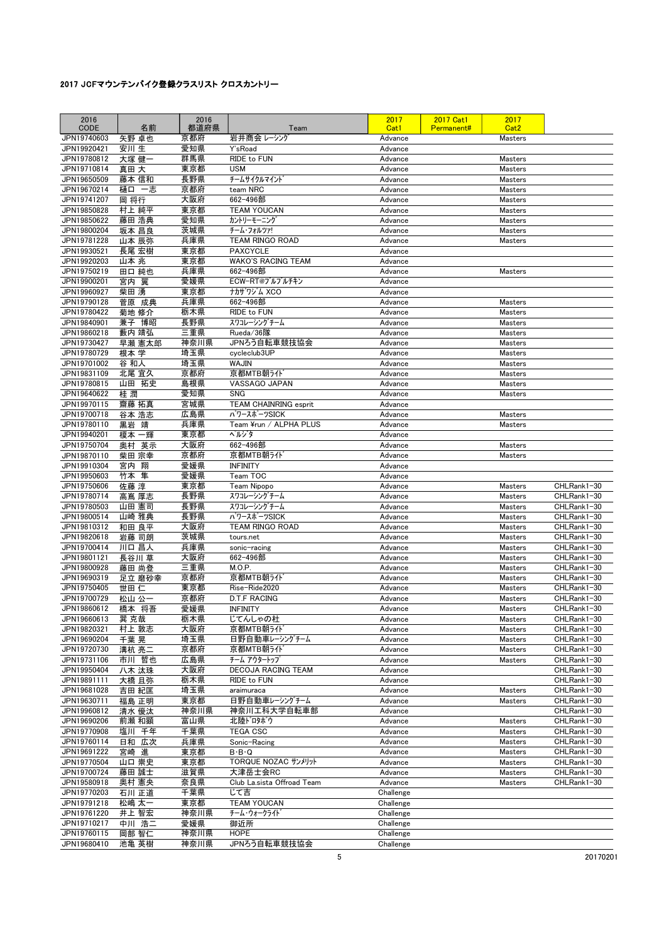| 2016<br>CODE               | 名前             | 2016<br>都道府県 | Team                                  | 2017<br>Cat1           | <b>2017 Cat1</b><br>Permanent# | 2017<br>Cat <sub>2</sub>         |                            |
|----------------------------|----------------|--------------|---------------------------------------|------------------------|--------------------------------|----------------------------------|----------------------------|
| JPN19740603                | 矢野 卓也          | 京都府          | 岩井商会 レーシング                            | Advance                |                                | <b>Masters</b>                   |                            |
| JPN19920421                | 安川 生           | 愛知県          | Y'sRoad                               | Advance                |                                |                                  |                            |
| JPN19780812                | 大塚 健一          | 群馬県          | RIDE to FUN                           | Advance                |                                | <b>Masters</b>                   |                            |
| JPN19710814                | 真田 大           | 東京都          | <b>USM</b>                            | Advance                |                                | Masters                          |                            |
| JPN19650509                | 藤本 信和          | 長野県          | チームサイクルマイント                           | Advance                |                                | <b>Masters</b>                   |                            |
| JPN19670214                | 樋口 一志          | 京都府          | team NRC                              | Advance                |                                | <b>Masters</b>                   |                            |
| JPN19741207                | 岡 将行           | 大阪府          | 662-496部                              | Advance                |                                | <b>Masters</b>                   |                            |
| JPN19850828                | 村上 純平          | 東京都          | <b>TEAM YOUCAN</b>                    | Advance                |                                | <b>Masters</b>                   |                            |
| JPN19850622<br>JPN19800204 | 藤田 浩典<br>坂本 昌良 | 愛知県<br>茨城県   | カントリーモーニング<br>チーム・フォルツァ!              | Advance<br>Advance     |                                | <b>Masters</b><br>Masters        |                            |
| JPN19781228                | 山本 辰弥          | 兵庫県          | TEAM RINGO ROAD                       | Advance                |                                | <b>Masters</b>                   |                            |
| JPN19930521                | 長尾 宏樹          | 東京都          | <b>PAXCYCLE</b>                       | Advance                |                                |                                  |                            |
| JPN19920203                | 山本 兆           | 東京都          | <b>WAKO'S RACING TEAM</b>             | Advance                |                                |                                  |                            |
| JPN19750219                | 田口 純也          | 兵庫県          | 662-496部                              | Advance                |                                | <b>Masters</b>                   |                            |
| JPN19900201                | 宮内<br>翼        | 愛媛県          | ECW-RT@ブルブルチキン                        | Advance                |                                |                                  |                            |
| JPN19960927                | 柴田 湧           | 東京都          | ナカザリジム XCO                            | Advance                |                                |                                  |                            |
| JPN19790128                | 菅原 成典          | 兵庫県          | 662-496部                              | Advance                |                                | <b>Masters</b>                   |                            |
| JPN19780422                | 菊地 修介          | 栃木県          | RIDE to FUN                           | Advance                |                                | <b>Masters</b>                   |                            |
| JPN19840901<br>JPN19860218 | 兼子 博昭<br>藪内 靖弘 | 長野県<br>三重県   | スワコレーシングチーム<br>Rueda/36隊              | Advance<br>Advance     |                                | <b>Masters</b><br>Masters        |                            |
| JPN19730427                | 早瀬 憲太郎         | 神奈川県         | JPNろう自転車競技協会                          | Advance                |                                | <b>Masters</b>                   |                            |
| JPN19780729                | 根本 学           | 埼玉県          | cycleclub3UP                          | Advance                |                                | Masters                          |                            |
| JPN19701002                | 谷 和人           | 埼玉県          | <b>WAJIN</b>                          | Advance                |                                | <b>Masters</b>                   |                            |
| JPN19831109                | 北尾 宜久          | 京都府          | 京都MTB朝ライト                             | Advance                |                                | <b>Masters</b>                   |                            |
| JPN19780815                | 山田 拓史          | 島根県          | VASSAGO JAPAN                         | Advance                |                                | Masters                          |                            |
| JPN19640622                | 桂潤             | 愛知県          | <b>SNG</b>                            | Advance                |                                | <b>Masters</b>                   |                            |
| JPN19970115                | 齋藤 拓真          | 宮城県          | <b>TEAM CHAINRING esprit</b>          | Advance                |                                |                                  |                            |
| JPN19700718<br>JPN19780110 | 谷本 浩志          | 広島県<br>兵庫県   | パワースポーツSICK<br>Team ¥run / ALPHA PLUS | Advance<br>Advance     |                                | <b>Masters</b><br><b>Masters</b> |                            |
| JPN19940201                | 黒岩 靖<br>榎本 一輝  | 東京都          | ヘルジタ                                  | Advance                |                                |                                  |                            |
| JPN19750704                | 奥村 英示          | 大阪府          | 662-496部                              | Advance                |                                | <b>Masters</b>                   |                            |
| JPN19870110                | 柴田 宗幸          | 京都府          | 京都MTB朝ライト                             | Advance                |                                | <b>Masters</b>                   |                            |
| JPN19910304                | 宮内 翔           | 愛媛県          | <b>INFINITY</b>                       | Advance                |                                |                                  |                            |
| JPN19950603                | 竹本 隼           | 愛媛県          | Team TOC                              | Advance                |                                |                                  |                            |
| JPN19750606                | 佐藤 淳           | 東京都          | Team Nipopo                           | Advance                |                                | <b>Masters</b>                   | CHLRank1-30                |
| JPN19780714                | 高嶌 厚志          | 長野県          | スワコレーシングチーム                           | Advance                |                                | Masters                          | CHLRank1-30                |
| JPN19780503                | 山田 憲司<br>山崎 雅典 | 長野県          | スワコレーシングチーム<br>パワースポーツSICK            | Advance                |                                | Masters                          | CHLRank1-30                |
| JPN19800514<br>JPN19810312 | 和田 良平          | 長野県<br>大阪府   | TEAM RINGO ROAD                       | Advance<br>Advance     |                                | Masters<br><b>Masters</b>        | CHLRank1-30<br>CHLRank1-30 |
| JPN19820618                | 岩藤 司朗          | 茨城県          | tours.net                             | Advance                |                                | Masters                          | CHLRank1-30                |
| JPN19700414                | 川口 昌人          | 兵庫県          | sonic-racing                          | Advance                |                                | <b>Masters</b>                   | CHLRank1-30                |
| JPN19801121                | 長谷川 草          | 大阪府          | 662-496部                              | Advance                |                                | Masters                          | CHLRank1-30                |
| JPN19800928                | 藤田 尚登          | 三重県          | M.O.P.                                | Advance                |                                | <b>Masters</b>                   | CHLRank1-30                |
| JPN19690319                | 足立 磨砂幸         | 京都府          | 京都MTB朝ライド                             | Advance                |                                | <b>Masters</b>                   | CHLRank1-30                |
| JPN19750405                | 世田 仁           | 東京都          | Rise-Ride2020                         | Advance                |                                | Masters                          | CHLRank1-30                |
| JPN19700729<br>JPN19860612 | 松山 公一          | 京都府          | <b>D.T.F RACING</b>                   | Advance<br>Advance     |                                | <b>Masters</b>                   | CHLRank1-30<br>CHLRank1-30 |
| JPN19660613                | 橋本 将吾<br>巽 克哉  | 愛媛県<br>栃木県   | <b>INFINITY</b><br>じてんしゃの杜            | Advance                |                                | <b>Masters</b><br>Masters        | CHLRank1-30                |
| JPN19820321                | 村上 敦志          | 大阪府          | 京都MTB朝ライド                             | Advance                |                                | Masters                          | CHLRank1-30                |
| JPN19690204                | 千葉 晃           | 埼玉県          | 日野自動車レーシングチーム                         | Advance                |                                | Masters                          | CHLRank1-30                |
| JPN19720730                | 溝杭 亮二          | 京都府          | 京都MTB朝ライド                             | Advance                |                                | Masters                          | CHLRank1-30                |
| JPN19731106                | 市川 哲也          | 広島県          | チーム アウタートップ                           | Advance                |                                | Masters                          | CHLRank1-30                |
| JPN19950404                | 八木 汰珠          | 大阪府          | <b>DECOJA RACING TEAM</b>             | Advance                |                                |                                  | CHLRank1-30                |
| JPN19891111                | 大橋 且弥          | 栃木県          | RIDE to FUN                           | Advance                |                                |                                  | CHLRank1-30                |
| JPN19681028<br>JPN19630711 | 吉田 紀匡          | 埼玉県<br>東京都   | araimuraca<br>日野自動車レーシングチーム           | Advance<br>Advance     |                                | <b>Masters</b><br>Masters        | CHLRank1-30<br>CHLRank1-30 |
| JPN19960812                | 福島 正明<br>清水 優汰 | 神奈川県         | 神奈川工科大学自転車部                           | Advance                |                                |                                  | CHLRank1-30                |
| JPN19690206                | 前瀬 和顕          | 富山県          | 北陸ドロタボウ                               | Advance                |                                | Masters                          | CHLRank1-30                |
| JPN19770908                | 塩川 千年          | 千葉県          | <b>TEGA CSC</b>                       | Advance                |                                | Masters                          | CHLRank1-30                |
| JPN19760114                | 日和 広次          | 兵庫県          | Sonic-Racing                          | Advance                |                                | Masters                          | CHLRank1-30                |
| JPN19691222                | 宮崎 進           | 東京都          | $B \cdot B \cdot Q$                   | Advance                |                                | Masters                          | CHLRank1-30                |
| JPN19770504                | 山口 崇史          | 東京都          | TORQUE NOZAC サンメリット                   | Advance                |                                | Masters                          | CHLRank1-30                |
| JPN19700724                | 藤田 誠士          | 滋賀県          | 大津岳士会RC                               | Advance                |                                | Masters                          | CHLRank1-30                |
| JPN19580918                | 奥村 憲央          | 奈良県          | Club La.sista Offroad Team<br>じて吉     | Advance                |                                | Masters                          | CHLRank1-30                |
| JPN19770203<br>JPN19791218 | 石川 正道<br>松嶋 太一 | 千葉県<br>東京都   | <b>TEAM YOUCAN</b>                    | Challenge<br>Challenge |                                |                                  |                            |
| JPN19761220                | 井上 智宏          | 神奈川県         | チーム・ウォークライト゛                          | Challenge              |                                |                                  |                            |
| JPN19710217                | 中川 浩二          | 愛媛県          | 御近所                                   | Challenge              |                                |                                  |                            |
| JPN19760115                | 岡部 智仁          | 神奈川県         | HOPE                                  | Challenge              |                                |                                  |                            |
| JPN19680410                | 池亀 英樹          | 神奈川県         | JPNろう自転車競技協会                          | Challenge              |                                |                                  |                            |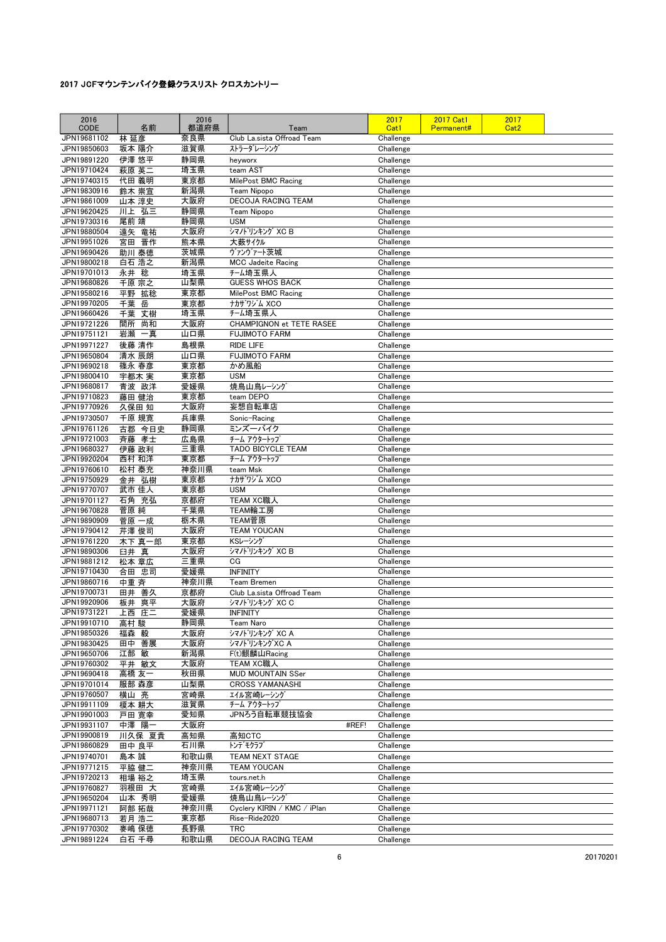| 2016<br><b>CODE</b>        | 名前             | 2016<br>都道府県 | Team                                     | 2017<br>Cat1           | <b>2017 Cat1</b><br>Permanent# | 2017<br>Cat <sub>2</sub> |  |
|----------------------------|----------------|--------------|------------------------------------------|------------------------|--------------------------------|--------------------------|--|
| JPN19681102                | 林 延彦           | 奈良県          | Club La.sista Offroad Team               | Challenge              |                                |                          |  |
| JPN19850603                | 坂本 陽介          | 滋賀県          | ストラーダレーシング                               | Challenge              |                                |                          |  |
| JPN19891220<br>JPN19710424 | 伊澤 悠平          | 静岡県<br>埼玉県   | heyworx<br>team AST                      | Challenge              |                                |                          |  |
| JPN19740315                | 萩原 英二<br>代田 義明 | 東京都          | MilePost BMC Racing                      | Challenge<br>Challenge |                                |                          |  |
| JPN19830916                | 鈴木 崇宣          | 新潟県          | Team Nipopo                              | Challenge              |                                |                          |  |
| JPN19861009                | 山本 淳史          | 大阪府          | <b>DECOJA RACING TEAM</b>                | Challenge              |                                |                          |  |
| JPN19620425                | 川上 弘三          | 静岡県          | <b>Team Nipopo</b>                       | Challenge              |                                |                          |  |
| JPN19730316                | 尾前 靖           | 静岡県          | <b>USM</b>                               | Challenge              |                                |                          |  |
| JPN19880504<br>JPN19951026 | 遠矢 竜祐          | 大阪府          | シマノト <sup>*</sup> リンキング XC B             | Challenge              |                                |                          |  |
| JPN19690426                | 宮田 晋作<br>助川 泰徳 | 熊本県<br>茨城県   | 大薮サイクル<br>ヴァンヴァート茨城                      | Challenge<br>Challenge |                                |                          |  |
| JPN19800218                | 白石 浩之          | 新潟県          | <b>MCC Jadeite Racing</b>                | Challenge              |                                |                          |  |
| JPN19701013                | 永井 稔           | 埼玉県          | チーム埼玉県人                                  | Challenge              |                                |                          |  |
| JPN19680826                | 千原宗之           | 山梨県          | <b>GUESS WHOS BACK</b>                   | Challenge              |                                |                          |  |
| JPN19580216                | 平野 拡稔          | 東京都          | MilePost BMC Racing                      | Challenge              |                                |                          |  |
| JPN19970205                | 千葉 岳           | 東京都          | ナカザワジム XCO                               | Challenge              |                                |                          |  |
| JPN19660426<br>JPN19721226 | 千葉 丈樹<br>尚和    | 埼玉県<br>大阪府   | チーム埼玉県人<br>CHAMPIGNON et TETE RASEE      | Challenge<br>Challenge |                                |                          |  |
| JPN19751121                | 間所<br>岩瀬 一真    | 山口県          | <b>FUJIMOTO FARM</b>                     | Challenge              |                                |                          |  |
| JPN19971227                | 後藤 清作          | 島根県          | <b>RIDE LIFE</b>                         | Challenge              |                                |                          |  |
| JPN19650804                | 清水 辰朗          | 山口県          | <b>FUJIMOTO FARM</b>                     | Challenge              |                                |                          |  |
| JPN19690218                | 篠永 春彦          | 東京都          | かめ風船                                     | Challenge              |                                |                          |  |
| JPN19800410                | 宇都木 実          | 東京都          | <b>USM</b>                               | Challenge              |                                |                          |  |
| JPN19680817                | 青波 政洋          | 愛媛県          | 焼鳥山鳥レーシング                                | Challenge              |                                |                          |  |
| JPN19710823                | 藤田 健治          | 東京都<br>大阪府   | team DEPO                                | Challenge              |                                |                          |  |
| JPN19770926                | 久保田 知<br>千原 規寛 | 兵庫県          | 妄想自転車店                                   | Challenge              |                                |                          |  |
| JPN19730507<br>JPN19761126 | 古郡 今日史         | 静岡県          | Sonic-Racing<br>ミンズーバイク                  | Challenge<br>Challenge |                                |                          |  |
| JPN19721003                | 斉藤<br>孝士       | 広島県          | チーム アウタートップ                              | Challenge              |                                |                          |  |
| JPN19680327                | 伊藤 政利          | 三重県          | TADO BICYCLE TEAM                        | Challenge              |                                |                          |  |
| JPN19920204                | 西村 和洋          | 東京都          | チーム アウタートップ                              | Challenge              |                                |                          |  |
| JPN19760610                | 松村 泰充          | 神奈川県         | team Msk                                 | Challenge              |                                |                          |  |
| JPN19750929<br>JPN19770707 | 金井 弘樹          | 東京都          | ナカザワジム XCO<br><b>USM</b>                 | Challenge              |                                |                          |  |
| JPN19701127                | 武市 佳人<br>石角 充弘 | 東京都<br>京都府   | TEAM XC職人                                | Challenge<br>Challenge |                                |                          |  |
| JPN19670828                | 菅原 純           | 千葉県          | TEAM輪工房                                  | Challenge              |                                |                          |  |
| JPN19890909                | 菅原 一成          | 栃木県          | TEAM菅原                                   | Challenge              |                                |                          |  |
| JPN19790412                | 芹澤 俊司          | 大阪府          | <b>TEAM YOUCAN</b>                       | Challenge              |                                |                          |  |
| JPN19761220                | 木下 真一郎         | 東京都          | KSレーシング                                  | Challenge              |                                |                          |  |
| JPN19890306                | 臼井 真           | 大阪府          | シマノト <sup>・</sup> リンキング XC B             | Challenge              |                                |                          |  |
| JPN19881212<br>JPN19710430 | 松本 章広<br>合田 忠司 | 三重県<br>愛媛県   | CG<br>INFINITY                           | Challenge<br>Challenge |                                |                          |  |
| JPN19860716                | 中重 斉           | 神奈川県         | <b>Team Bremen</b>                       | Challenge              |                                |                          |  |
| JPN19700731                | 田井 善久          | 京都府          | Club La.sista Offroad Team               | Challenge              |                                |                          |  |
| JPN19920906                | 板井 爽平          | 大阪府          | シマノドリンキング XC C                           | Challenge              |                                |                          |  |
| JPN19731221                | 上西 庄二          | 愛媛県          | INFINITY                                 | Challenge              |                                |                          |  |
| JPN19910710                | 高村 駿           | 静岡県          | Team Naro                                | Challenge              |                                |                          |  |
| JPN19850326<br>JPN19830425 | 福森 毅<br>田中 善展  | 大阪府<br>大阪府   | シマノトリンキング XC A<br>シマノドリンキング XC A         | Challenge<br>Challenge |                                |                          |  |
| JPN19650706                | 江部 敏           | 新潟県          | F(t)麒麟山Racing                            | Challenge              |                                |                          |  |
| JPN19760302                | 平井 敏文          | 大阪府          | TEAM XC職人                                | Challenge              |                                |                          |  |
| JPN19690418                | 高橋 友一          | 秋田県          | MUD MOUNTAIN SSer                        | Challenge              |                                |                          |  |
| JPN19701014                | 服部 森彦          | 山梨県          | <b>CROSS YAMANASHI</b>                   | Challenge              |                                |                          |  |
| JPN19760507                | 横山 亮           | 宮崎県          | エイル宮崎レーシング                               | Challenge              |                                |                          |  |
| JPN19911109<br>JPN19901003 | 榎本 耕大          | 滋賀県<br>愛知県   | チーム アウタートップ<br>JPNろう自転車競技協会              | Challenge<br>Challenge |                                |                          |  |
| JPN19931107                | 戸田 寛幸<br>中澤 陽一 | 大阪府          | #REF!                                    | Challenge              |                                |                          |  |
| JPN19900819                | 川久保 夏貴         | 高知県          | 高知CTC                                    | Challenge              |                                |                          |  |
| JPN19860829                | 田中 良平          | 石川県          | トンデ゛モクラフ゛                                | Challenge              |                                |                          |  |
| JPN19740701                | 島本 誠           | 和歌山県         | TEAM NEXT STAGE                          | Challenge              |                                |                          |  |
| JPN19771215                | 平脇 健二          | 神奈川県         | <b>TEAM YOUCAN</b>                       | Challenge              |                                |                          |  |
| JPN19720213                | 相場 裕之          | 埼玉県          | tours.net.h                              | Challenge              |                                |                          |  |
| JPN19760827                | 羽根田 大          | 宮崎県          | エイル宮崎レーシング                               | Challenge              |                                |                          |  |
| JPN19650204<br>JPN19971121 | 山本 秀明<br>阿部 拓哉 | 愛媛県<br>神奈川県  | 焼鳥山鳥レーシング<br>Cyclery KIRIN / KMC / iPlan | Challenge<br>Challenge |                                |                          |  |
| JPN19680713                | 若月 浩二          | 東京都          | Rise-Ride2020                            | Challenge              |                                |                          |  |
| JPN19770302                | 麥嶋 保徳          | 長野県          | <b>TRC</b>                               | Challenge              |                                |                          |  |
| JPN19891224                | 白石 千尋          | 和歌山県         | DECOJA RACING TEAM                       | Challenge              |                                |                          |  |